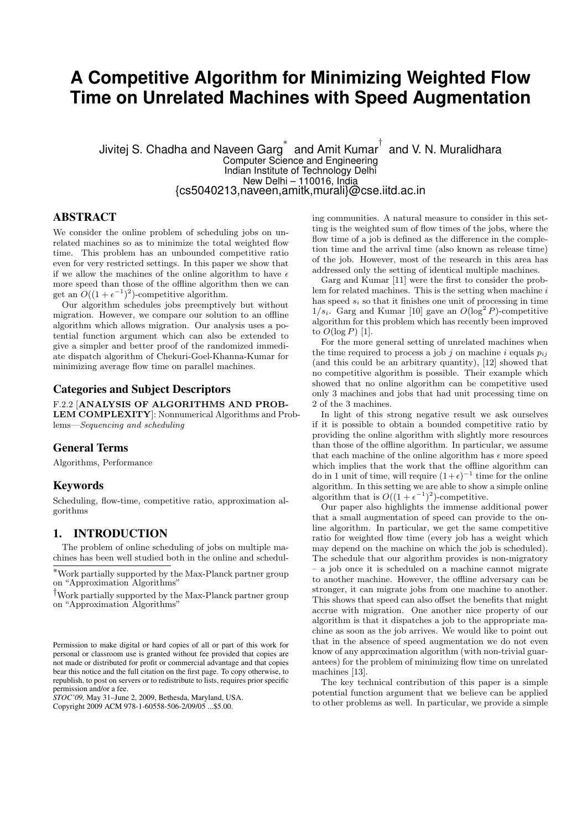# **A Competitive Algorithm for Minimizing Weighted Flow Time on Unrelated Machines with Speed Augmentation**

Jivitej S. Chadha and Naveen Garg $^{*}\,$  and Amit Kumar $^{\dagger}\,$  and V. N. Muralidhara Computer Science and Engineering Indian Institute of Technology Delhi New Delhi – 110016, India {cs5040213,naveen,amitk,murali}@cse.iitd.ac.in

## ABSTRACT

We consider the online problem of scheduling jobs on unrelated machines so as to minimize the total weighted flow time. This problem has an unbounded competitive ratio even for very restricted settings. In this paper we show that if we allow the machines of the online algorithm to have  $\epsilon$ more speed than those of the offline algorithm then we can get an  $O((1+\epsilon^{-1})^2)$ -competitive algorithm.

Our algorithm schedules jobs preemptively but without migration. However, we compare our solution to an offline algorithm which allows migration. Our analysis uses a potential function argument which can also be extended to give a simpler and better proof of the randomized immediate dispatch algorithm of Chekuri-Goel-Khanna-Kumar for minimizing average flow time on parallel machines.

#### Categories and Subject Descriptors

F.2.2 [ANALYSIS OF ALGORITHMS AND PROB-LEM COMPLEXITY]: Nonnumerical Algorithms and Problems—Sequencing and scheduling

#### General Terms

Algorithms, Performance

#### Keywords

Scheduling, flow-time, competitive ratio, approximation algorithms

#### 1. INTRODUCTION

The problem of online scheduling of jobs on multiple machines has been well studied both in the online and schedul-

†Work partially supported by the Max-Planck partner group on "Approximation Algorithms"

*STOC'09,* May 31–June 2, 2009, Bethesda, Maryland, USA. Copyright 2009 ACM 978-1-60558-506-2/09/05 ...\$5.00.

ing communities. A natural measure to consider in this setting is the weighted sum of flow times of the jobs, where the flow time of a job is defined as the difference in the completion time and the arrival time (also known as release time) of the job. However, most of the research in this area has addressed only the setting of identical multiple machines.

Garg and Kumar [11] were the first to consider the problem for related machines. This is the setting when machine  $i$ has speed  $s_i$  so that it finishes one unit of processing in time  $1/s_i$ . Garg and Kumar [10] gave an  $O(\log^2 P)$ -competitive algorithm for this problem which has recently been improved to  $O(\log P)$  [1].

For the more general setting of unrelated machines when the time required to process a job j on machine i equals  $p_{ij}$ (and this could be an arbitrary quantity), [12] showed that no competitive algorithm is possible. Their example which showed that no online algorithm can be competitive used only 3 machines and jobs that had unit processing time on 2 of the 3 machines.

In light of this strong negative result we ask ourselves if it is possible to obtain a bounded competitive ratio by providing the online algorithm with slightly more resources than those of the offline algorithm. In particular, we assume that each machine of the online algorithm has  $\epsilon$  more speed which implies that the work that the offline algorithm can do in 1 unit of time, will require  $(1+\epsilon)^{-1}$  time for the online algorithm. In this setting we are able to show a simple online algorithm that is  $O((1+\epsilon^{-1})^2)$ -competitive.

Our paper also highlights the immense additional power that a small augmentation of speed can provide to the online algorithm. In particular, we get the same competitive ratio for weighted flow time (every job has a weight which may depend on the machine on which the job is scheduled). The schedule that our algorithm provides is non-migratory – a job once it is scheduled on a machine cannot migrate to another machine. However, the offline adversary can be stronger, it can migrate jobs from one machine to another. This shows that speed can also offset the benefits that might accrue with migration. One another nice property of our algorithm is that it dispatches a job to the appropriate machine as soon as the job arrives. We would like to point out that in the absence of speed augmentation we do not even know of any approximation algorithm (with non-trivial guarantees) for the problem of minimizing flow time on unrelated machines [13].

The key technical contribution of this paper is a simple potential function argument that we believe can be applied to other problems as well. In particular, we provide a simple

<sup>∗</sup>Work partially supported by the Max-Planck partner group on "Approximation Algorithms"

Permission to make digital or hard copies of all or part of this work for personal or classroom use is granted without fee provided that copies are not made or distributed for profit or commercial advantage and that copies bear this notice and the full citation on the first page. To copy otherwise, to republish, to post on servers or to redistribute to lists, requires prior specific permission and/or a fee.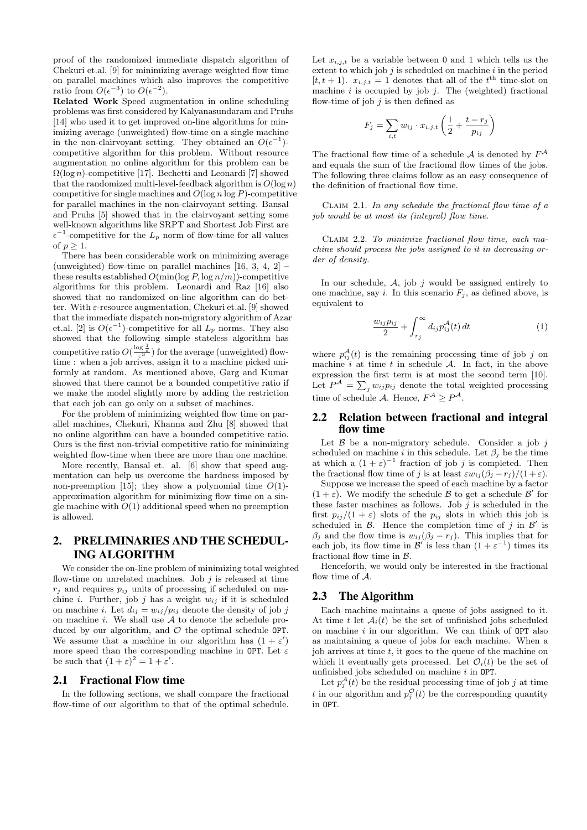proof of the randomized immediate dispatch algorithm of Chekuri et.al. [9] for minimizing average weighted flow time on parallel machines which also improves the competitive ratio from  $O(\epsilon^{-3})$  to  $O(\epsilon^{-2})$ .

Related Work Speed augmentation in online scheduling problems was first considered by Kalyanasundaram and Pruhs [14] who used it to get improved on-line algorithms for minimizing average (unweighted) flow-time on a single machine in the non-clairvoyant setting. They obtained an  $O(\epsilon^{-1})$ competitive algorithm for this problem. Without resource augmentation no online algorithm for this problem can be  $\Omega(\log n)$ -competitive [17]. Bechetti and Leonardi [7] showed that the randomized multi-level-feedback algorithm is  $O(\log n)$ competitive for single machines and  $O(\log n \log P)$ -competitive for parallel machines in the non-clairvoyant setting. Bansal and Pruhs [5] showed that in the clairvoyant setting some well-known algorithms like SRPT and Shortest Job First are  $\epsilon^{-1}$ -competitive for the  $L_p$  norm of flow-time for all values of  $p \geq 1$ .

There has been considerable work on minimizing average (unweighted) flow-time on parallel machines  $[16, 3, 4, 2]$  – these results established  $O(\min(\log P, \log n/m))$ -competitive algorithms for this problem. Leonardi and Raz [16] also showed that no randomized on-line algorithm can do better. With  $\varepsilon$ -resource augmentation, Chekuri et.al. [9] showed that the immediate dispatch non-migratory algorithm of Azar et.al. [2] is  $O(\epsilon^{-1})$ -competitive for all  $L_p$  norms. They also showed that the following simple stateless algorithm has competitive ratio  $O(\frac{\log \frac{1}{\varepsilon}}{\varepsilon^3})$  for the average (unweighted) flowtime : when a job arrives, assign it to a machine picked uniformly at random. As mentioned above, Garg and Kumar showed that there cannot be a bounded competitive ratio if we make the model slightly more by adding the restriction that each job can go only on a subset of machines.

For the problem of minimizing weighted flow time on parallel machines, Chekuri, Khanna and Zhu [8] showed that no online algorithm can have a bounded competitive ratio. Ours is the first non-trivial competitive ratio for minimizing weighted flow-time when there are more than one machine.

More recently, Bansal et. al. [6] show that speed augmentation can help us overcome the hardness imposed by non-preemption [15]; they show a polynomial time  $O(1)$ approximation algorithm for minimizing flow time on a single machine with  $O(1)$  additional speed when no preemption is allowed.

## 2. PRELIMINARIES AND THE SCHEDUL-ING ALGORITHM

We consider the on-line problem of minimizing total weighted flow-time on unrelated machines. Job  $j$  is released at time  $r_i$  and requires  $p_{ij}$  units of processing if scheduled on machine *i*. Further, job *j* has a weight  $w_{ij}$  if it is scheduled on machine i. Let  $d_{ij} = w_{ij}/p_{ij}$  denote the density of job j on machine  $i$ . We shall use  $A$  to denote the schedule produced by our algorithm, and  $\mathcal O$  the optimal schedule OPT. We assume that a machine in our algorithm has  $(1 + \varepsilon')$ more speed than the corresponding machine in OPT. Let  $\varepsilon$ be such that  $(1+\varepsilon)^2 = 1 + \varepsilon'$ .

#### 2.1 Fractional Flow time

In the following sections, we shall compare the fractional flow-time of our algorithm to that of the optimal schedule.

Let  $x_{i,j,t}$  be a variable between 0 and 1 which tells us the extent to which job  $j$  is scheduled on machine  $i$  in the period  $[t, t + 1)$ .  $x_{i,j,t} = 1$  denotes that all of the  $t<sup>th</sup>$  time-slot on machine  $i$  is occupied by job  $j$ . The (weighted) fractional flow-time of job  $j$  is then defined as

$$
F_j = \sum_{i,t} w_{ij} \cdot x_{i,j,t} \left( \frac{1}{2} + \frac{t - r_j}{p_{ij}} \right)
$$

The fractional flow time of a schedule A is denoted by  $F^{\mathcal{A}}$ and equals the sum of the fractional flow times of the jobs. The following three claims follow as an easy consequence of the definition of fractional flow time.

CLAIM 2.1. In any schedule the fractional flow time of  $a$ job would be at most its (integral) flow time.

Claim 2.2. To minimize fractional flow time, each machine should process the jobs assigned to it in decreasing order of density.

In our schedule,  $A$ , job  $j$  would be assigned entirely to one machine, say i. In this scenario  $F_i$ , as defined above, is equivalent to

$$
\frac{w_{ij}p_{ij}}{2} + \int_{r_j}^{\infty} d_{ij}p_{ij}^{\mathcal{A}}(t) dt
$$
 (1)

where  $p_{ij}^{\mathcal{A}}(t)$  is the remaining processing time of job j on machine  $i$  at time  $t$  in schedule  $A$ . In fact, in the above expression the first term is at most the second term [10]. Let  $P^{\mathcal{A}} = \sum_{j} w_{ij} p_{ij}$  denote the total weighted processing time of schedule A. Hence,  $F^{\mathcal{A}} \geq P^{\mathcal{A}}$ .

#### 2.2 Relation between fractional and integral flow time

Let  $\beta$  be a non-migratory schedule. Consider a job j scheduled on machine i in this schedule. Let  $\beta_i$  be the time at which a  $(1 + \varepsilon)^{-1}$  fraction of job j is completed. Then the fractional flow time of j is at least  $\varepsilon w_{ij} (\beta_j - r_j)/(1 + \varepsilon)$ .

Suppose we increase the speed of each machine by a factor  $(1 + \varepsilon)$ . We modify the schedule B to get a schedule B' for these faster machines as follows. Job  $j$  is scheduled in the first  $p_{ij}/(1+\varepsilon)$  slots of the  $p_{ij}$  slots in which this job is scheduled in  $\beta$ . Hence the completion time of j in  $\beta'$  is  $\beta_i$  and the flow time is  $w_{ij}(\beta_j - r_j)$ . This implies that for each job, its flow time in  $\mathcal{B}'$  is less than  $(1 + \varepsilon^{-1})$  times its fractional flow time in B.

Henceforth, we would only be interested in the fractional flow time of  $A$ .

#### 2.3 The Algorithm

Each machine maintains a queue of jobs assigned to it. At time t let  $A_i(t)$  be the set of unfinished jobs scheduled on machine  $i$  in our algorithm. We can think of  $OPT$  also as maintaining a queue of jobs for each machine. When a job arrives at time  $t$ , it goes to the queue of the machine on which it eventually gets processed. Let  $\mathcal{O}_i(t)$  be the set of unfinished jobs scheduled on machine  $i$  in OPT.

Let  $p_j^{\mathcal{A}}(t)$  be the residual processing time of job j at time t in our algorithm and  $p_j^{\mathcal{O}}(t)$  be the corresponding quantity in OPT.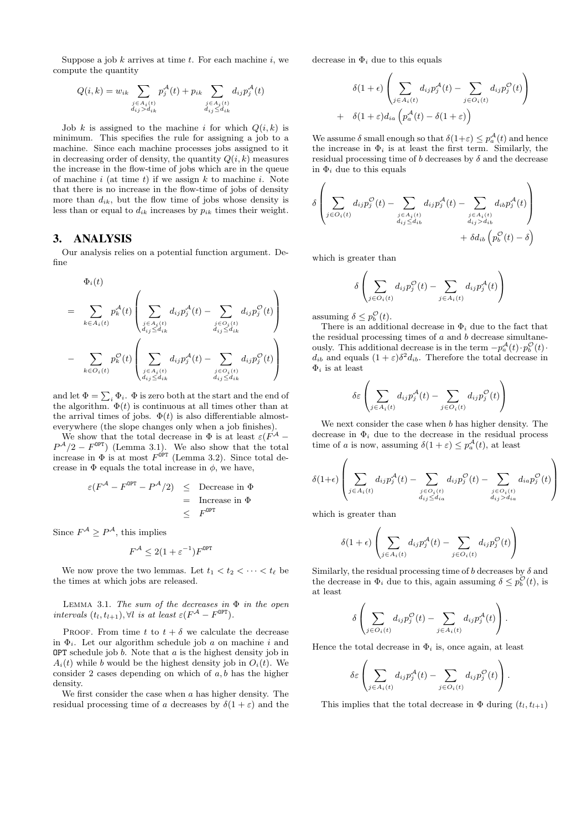Suppose a job  $k$  arrives at time  $t$ . For each machine  $i$ , we compute the quantity

$$
Q(i,k) = w_{ik} \sum_{\substack{j \in A_i(t) \\ d_{ij} > d_{ik}}} p_j^{\mathcal{A}}(t) + p_{ik} \sum_{\substack{j \in A_i(t) \\ d_{ij} \le d_{ik}}} d_{ij} p_j^{\mathcal{A}}(t)
$$

Job k is assigned to the machine i for which  $Q(i, k)$  is minimum. This specifies the rule for assigning a job to a machine. Since each machine processes jobs assigned to it in decreasing order of density, the quantity  $Q(i, k)$  measures the increase in the flow-time of jobs which are in the queue of machine i (at time t) if we assign  $k$  to machine i. Note that there is no increase in the flow-time of jobs of density more than  $d_{ik}$ , but the flow time of jobs whose density is less than or equal to  $d_{ik}$  increases by  $p_{ik}$  times their weight.

#### 3. ANALYSIS

Our analysis relies on a potential function argument. Define

$$
\Phi_i(t)
$$
\n
$$
= \sum_{k \in A_i(t)} p_k^{\mathcal{A}}(t) \left( \sum_{\substack{j \in A_i(t) \\ d_{ij} \le d_{ik}}} d_{ij} p_j^{\mathcal{A}}(t) - \sum_{\substack{j \in O_i(t) \\ d_{ij} \le d_{ik}}} d_{ij} p_j^{\mathcal{O}}(t) \right)
$$
\n
$$
- \sum_{k \in O_i(t)} p_k^{\mathcal{O}}(t) \left( \sum_{\substack{j \in A_i(t) \\ d_{ij} \le d_{ik}}} d_{ij} p_j^{\mathcal{A}}(t) - \sum_{\substack{j \in O_i(t) \\ d_{ij} \le d_{ik}}} d_{ij} p_j^{\mathcal{O}}(t) \right)
$$

and let  $\Phi = \sum_i \Phi_i$ .  $\Phi$  is zero both at the start and the end of the algorithm.  $\Phi(t)$  is continuous at all times other than at the arrival times of jobs.  $\Phi(t)$  is also differentiable almosteverywhere (the slope changes only when a job finishes).

We show that the total decrease in  $\Phi$  is at least  $\varepsilon(F^{\mathcal{A}} P^{\mathcal{A}}/2 - F^{\text{OPT}}$  (Lemma 3.1). We also show that the total increase in  $\Phi$  is at most  $F^{\text{OPT}}$  (Lemma 3.2). Since total decrease in  $\Phi$  equals the total increase in  $\phi$ , we have,

$$
\varepsilon (F^{\mathcal{A}} - F^{0PT} - P^{\mathcal{A}}/2) \leq \text{ Decrease in } \Phi
$$
  
= Increase in  $\Phi$   

$$
\leq F^{0PT}
$$

Since  $F^{\mathcal{A}} \geq P^{\mathcal{A}}$ , this implies

$$
F^{\mathcal{A}} \leq 2(1 + \varepsilon^{-1})F^{\text{OPT}}
$$

We now prove the two lemmas. Let  $t_1 < t_2 < \cdots < t_\ell$  be the times at which jobs are released.

LEMMA 3.1. The sum of the decreases in  $\Phi$  in the open intervals  $(t_l, t_{l+1}), \forall l$  is at least  $\varepsilon (F^{\mathcal{A}} - F^{\text{OPT}}).$ 

PROOF. From time t to  $t + \delta$  we calculate the decrease in  $\Phi_i$ . Let our algorithm schedule job a on machine i and OPT schedule job  $b$ . Note that  $a$  is the highest density job in  $A_i(t)$  while b would be the highest density job in  $O_i(t)$ . We consider 2 cases depending on which of  $a, b$  has the higher density.

We first consider the case when  $a$  has higher density. The residual processing time of a decreases by  $\delta(1+\varepsilon)$  and the decrease in  $\Phi_i$  due to this equals

$$
\delta(1+\epsilon)\left(\sum_{j\in A_i(t)} d_{ij}p_j^{\mathcal{A}}(t) - \sum_{j\in O_i(t)} d_{ij}p_j^{\mathcal{O}}(t)\right) + \delta(1+\epsilon)d_{ia}\left(p_a^{\mathcal{A}}(t) - \delta(1+\epsilon)\right)
$$

We assume  $\delta$  small enough so that  $\delta(1+\varepsilon) \leq p_a^{\mathcal{A}}(t)$  and hence the increase in  $\Phi_i$  is at least the first term. Similarly, the residual processing time of  $b$  decreases by  $\delta$  and the decrease in  $\Phi_i$  due to this equals

$$
\delta \left( \sum_{j \in O_i(t)} d_{ij} p_j^{\mathcal{O}}(t) - \sum_{\substack{j \in A_i(t) \\ d_{ij} \le d_{ib}}} d_{ij} p_j^{\mathcal{A}}(t) - \sum_{\substack{j \in A_i(t) \\ d_{ij} > d_{ib}}} d_{ib} p_j^{\mathcal{A}}(t) \right) + \delta d_{ib} \left( p_b^{\mathcal{O}}(t) - \delta \right)
$$

which is greater than

$$
\delta \left( \sum_{j \in O_i(t)} d_{ij} p_j^{\mathcal{O}}(t) - \sum_{j \in A_i(t)} d_{ij} p_j^{\mathcal{A}}(t) \right)
$$

assuming  $\delta \leq p_b^{\mathcal{O}}(t)$ .

There is an additional decrease in  $\Phi_i$  due to the fact that the residual processing times of  $a$  and  $b$  decrease simultaneously. This additional decrease is in the term  $-p_a^{\mathcal{A}}(t) \cdot p_b^{\mathcal{O}}(t)$ .  $d_{ib}$  and equals  $(1+\varepsilon)\delta^2 d_{ib}$ . Therefore the total decrease in  $\Phi_i$  is at least

$$
\delta \varepsilon \left( \sum_{j \in A_i(t)} d_{ij} p_j^{\mathcal{A}}(t) - \sum_{j \in O_i(t)} d_{ij} p_j^{\mathcal{O}}(t) \right)
$$

We next consider the case when  $b$  has higher density. The decrease in  $\Phi_i$  due to the decrease in the residual process time of a is now, assuming  $\delta(1+\varepsilon) \leq p_a^{\mathcal{A}}(t)$ , at least

$$
\delta(1+\epsilon)\left(\sum_{j\in A_i(t)}d_{ij}p_j^{\mathcal{A}}(t) - \sum_{\substack{j\in O_i(t)\\d_{ij}\leq d_{ia}}}d_{ij}p_j^{\mathcal{O}}(t) - \sum_{\substack{j\in O_i(t)\\d_{ij}>d_{ia}}}\delta_{ia}p_j^{\mathcal{O}}(t)\right)
$$

which is greater than

$$
\delta(1+\epsilon)\left(\sum_{j\in A_i(t)} d_{ij} p_j^{\mathcal{A}}(t) - \sum_{j\in O_i(t)} d_{ij} p_j^{\mathcal{O}}(t)\right)
$$

Similarly, the residual processing time of b decreases by  $\delta$  and the decrease in  $\Phi_i$  due to this, again assuming  $\delta \leq p_b^{\mathcal{O}}(t)$ , is at least

$$
\delta \left( \sum_{j \in O_i(t)} d_{ij} p_j^{\mathcal{O}}(t) - \sum_{j \in A_i(t)} d_{ij} p_j^{\mathcal{A}}(t) \right).
$$

Hence the total decrease in  $\Phi_i$  is, once again, at least

$$
\delta \varepsilon \left( \sum_{j \in A_i(t)} d_{ij} p_j^{\mathcal{A}}(t) - \sum_{j \in O_i(t)} d_{ij} p_j^{\mathcal{O}}(t) \right).
$$

This implies that the total decrease in  $\Phi$  during  $(t_l, t_{l+1})$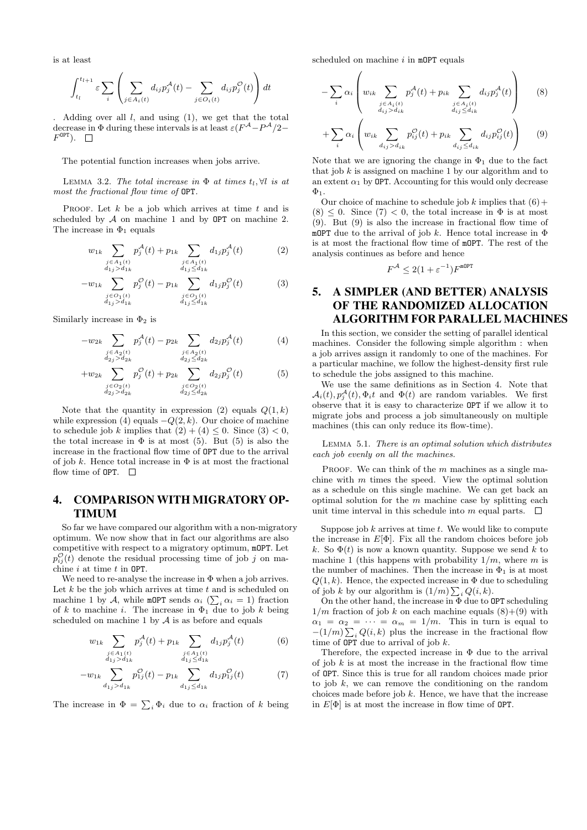is at least

$$
\int_{t_l}^{t_{l+1}} \varepsilon \sum_i \left( \sum_{j \in A_i(t)} d_{ij} p_j^{\mathcal{A}}(t) - \sum_{j \in O_i(t)} d_{ij} p_j^{\mathcal{O}}(t) \right) dt
$$

Adding over all  $l$ , and using  $(1)$ , we get that the total decrease in  $\Phi$  during these intervals is at least  $\varepsilon (F^{\mathcal{A}} - P^{\mathcal{A}}/2 F^{\text{OPT}}$ ).

The potential function increases when jobs arrive.

LEMMA 3.2. The total increase in  $\Phi$  at times  $t_l$ ,  $\forall l$  is at most the fractional flow time of OPT.

PROOF. Let  $k$  be a job which arrives at time  $t$  and is scheduled by  $A$  on machine 1 and by OPT on machine 2. The increase in  $\Phi_1$  equals

$$
w_{1k} \sum_{\substack{j \in A_1(t) \\ d_1 j > d_1 k}} p_j^{\mathcal{A}}(t) + p_{1k} \sum_{\substack{j \in A_1(t) \\ d_1 j \le d_1 k}} d_{1j} p_j^{\mathcal{A}}(t) \tag{2}
$$

$$
-w_{1k} \sum_{\substack{j \in O_1(t) \\ d_{1j} > d_{1k}}} p_j^{\mathcal{O}}(t) - p_{1k} \sum_{\substack{j \in O_1(t) \\ d_{1j} \le d_{1k}}} d_{1j} p_j^{\mathcal{O}}(t) \tag{3}
$$

Similarly increase in  $\Phi_2$  is

$$
-w_{2k} \sum_{\substack{j \in A_2(t) \\ d_{2j} > d_{2k}}} p_j^{\mathcal{A}}(t) - p_{2k} \sum_{\substack{j \in A_2(t) \\ d_{2j} \le d_{2k}}} d_{2j} p_j^{\mathcal{A}}(t) \tag{4}
$$

$$
+w_{2k}\sum_{\substack{j\in O_2(t)\\d_{2j}>d_{2k}}}p_j^{\mathcal{O}}(t)+p_{2k}\sum_{\substack{j\in O_2(t)\\d_{2j}\leq d_{2k}}}d_{2j}p_j^{\mathcal{O}}(t)\tag{5}
$$

Note that the quantity in expression (2) equals  $Q(1, k)$ while expression (4) equals  $-Q(2, k)$ . Our choice of machine to schedule job k implies that  $(2) + (4) \leq 0$ . Since  $(3) < 0$ , the total increase in  $\Phi$  is at most (5). But (5) is also the increase in the fractional flow time of OPT due to the arrival of job k. Hence total increase in  $\Phi$  is at most the fractional flow time of **OPT.**  $\Box$ 

## 4. COMPARISON WITH MIGRATORY OP-TIMUM

So far we have compared our algorithm with a non-migratory optimum. We now show that in fact our algorithms are also competitive with respect to a migratory optimum, mOPT. Let  $p_{ij}^{\mathcal{O}}(t)$  denote the residual processing time of job j on machine  $i$  at time  $t$  in OPT.

We need to re-analyse the increase in  $\Phi$  when a job arrives. Let  $k$  be the job which arrives at time  $t$  and is scheduled on machine 1 by A, while mOPT sends  $\alpha_i$  ( $\sum_i \alpha_i = 1$ ) fraction of k to machine i. The increase in  $\Phi_1$  due to job k being scheduled on machine  $1$  by  $A$  is as before and equals

$$
w_{1k} \sum_{\substack{j \in A_1(t) \\ d_{1j} > d_{1k}}} p_j^{\mathcal{A}}(t) + p_{1k} \sum_{\substack{j \in A_1(t) \\ d_{1j} \le d_{1k}}} d_{1j} p_j^{\mathcal{A}}(t) \tag{6}
$$

$$
-w_{1k} \sum_{d_{1j} > d_{1k}} p_{1j}^{\mathcal{O}}(t) - p_{1k} \sum_{d_{1j} \le d_{1k}} d_{1j} p_{1j}^{\mathcal{O}}(t) \tag{7}
$$

The increase in  $\Phi = \sum_i \Phi_i$  due to  $\alpha_i$  fraction of k being

scheduled on machine  $i$  in mOPT equals

$$
-\sum_{i} \alpha_{i} \left( w_{ik} \sum_{\substack{j \in A_{i}(t) \\ d_{ij} > d_{ik}}} p_{j}^{\mathcal{A}}(t) + p_{ik} \sum_{\substack{j \in A_{i}(t) \\ d_{ij} \le d_{ik}}} d_{ij} p_{j}^{\mathcal{A}}(t) \right)
$$
(8)

$$
+\sum_{i}\alpha_{i}\left(w_{ik}\sum_{d_{ij}>d_{ik}}p_{ij}^{\mathcal{O}}(t)+p_{ik}\sum_{d_{ij}\leq d_{ik}}d_{ij}p_{ij}^{\mathcal{O}}(t)\right) \qquad (9)
$$

Note that we are ignoring the change in  $\Phi_1$  due to the fact that job  $k$  is assigned on machine 1 by our algorithm and to an extent  $\alpha_1$  by OPT. Accounting for this would only decrease  $\Phi_1$ .

Our choice of machine to schedule job k implies that  $(6)$  +  $(8) \leq 0$ . Since  $(7) < 0$ , the total increase in  $\Phi$  is at most (9). But (9) is also the increase in fractional flow time of mOPT due to the arrival of job k. Hence total increase in  $\Phi$ is at most the fractional flow time of mOPT. The rest of the analysis continues as before and hence

$$
F^{\mathcal{A}} \leq 2(1 + \varepsilon^{-1})F^{\text{mOPT}}
$$

## 5. A SIMPLER (AND BETTER) ANALYSIS OF THE RANDOMIZED ALLOCATION ALGORITHM FOR PARALLEL MACHINES

In this section, we consider the setting of parallel identical machines. Consider the following simple algorithm : when a job arrives assign it randomly to one of the machines. For a particular machine, we follow the highest-density first rule to schedule the jobs assigned to this machine.

We use the same definitions as in Section 4. Note that  $\mathcal{A}_i(t), p_j^{\mathcal{A}}(t), \Phi_i t$  and  $\Phi(t)$  are random variables. We first observe that it is easy to characterize OPT if we allow it to migrate jobs and process a job simultaneously on multiple machines (this can only reduce its flow-time).

Lemma 5.1. There is an optimal solution which distributes each job evenly on all the machines.

PROOF. We can think of the  $m$  machines as a single machine with  $m$  times the speed. View the optimal solution as a schedule on this single machine. We can get back an optimal solution for the  $m$  machine case by splitting each unit time interval in this schedule into m equal parts.  $\Box$ 

Suppose job  $k$  arrives at time  $t$ . We would like to compute the increase in  $E[\Phi]$ . Fix all the random choices before job k. So  $\Phi(t)$  is now a known quantity. Suppose we send k to machine 1 (this happens with probability  $1/m$ , where m is the number of machines. Then the increase in  $\Phi_1$  is at most  $Q(1, k)$ . Hence, the expected increase in  $\Phi$  due to scheduling of job k by our algorithm is  $(1/m) \sum_i Q(i, k)$ .

On the other hand, the increase in Φ due to OPT scheduling  $1/m$  fraction of job k on each machine equals  $(8)+(9)$  with  $\alpha_1 = \alpha_2 = \cdots = \alpha_m = 1/m$ . This in turn is equal to  $-(1/m)\sum_i Q(i,k)$  plus the increase in the fractional flow time of  $OPT$  due to arrival of job  $k$ .

Therefore, the expected increase in  $\Phi$  due to the arrival of job  $k$  is at most the increase in the fractional flow time of OPT. Since this is true for all random choices made prior to job  $k$ , we can remove the conditioning on the random choices made before job  $k$ . Hence, we have that the increase in  $E[\Phi]$  is at most the increase in flow time of OPT.